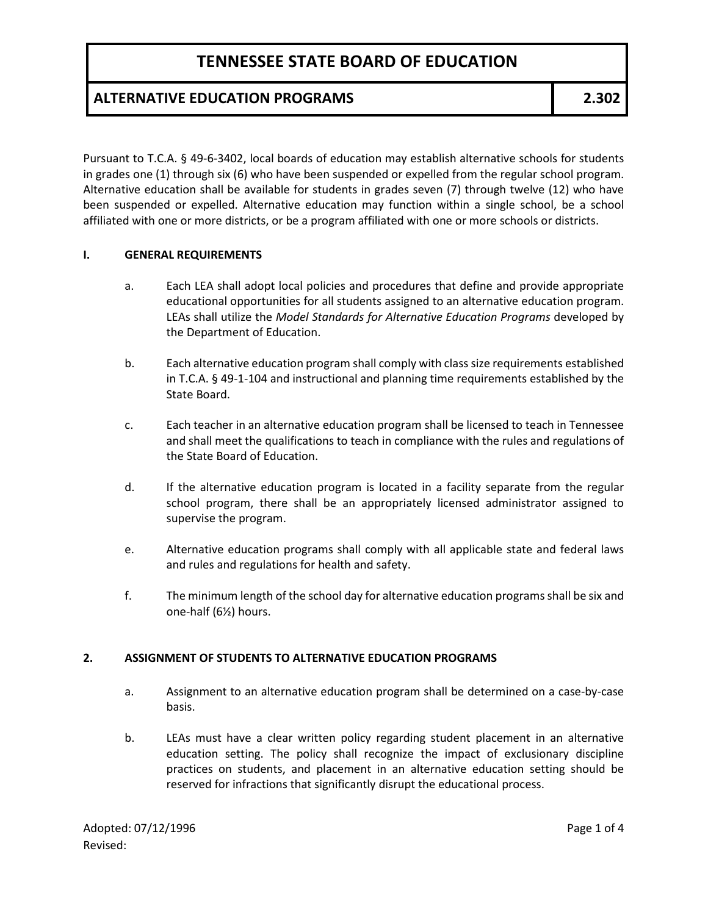### **ALTERNATIVE EDUCATION PROGRAMS 2.302**

Pursuant to T.C.A. § 49-6-3402, local boards of education may establish alternative schools for students in grades one (1) through six (6) who have been suspended or expelled from the regular school program. Alternative education shall be available for students in grades seven (7) through twelve (12) who have been suspended or expelled. Alternative education may function within a single school, be a school affiliated with one or more districts, or be a program affiliated with one or more schools or districts.

#### **I. GENERAL REQUIREMENTS**

- a. Each LEA shall adopt local policies and procedures that define and provide appropriate educational opportunities for all students assigned to an alternative education program. LEAs shall utilize the *Model Standards for Alternative Education Programs* developed by the Department of Education.
- b. Each alternative education program shall comply with class size requirements established in T.C.A. § 49-1-104 and instructional and planning time requirements established by the State Board.
- c. Each teacher in an alternative education program shall be licensed to teach in Tennessee and shall meet the qualifications to teach in compliance with the rules and regulations of the State Board of Education.
- d. If the alternative education program is located in a facility separate from the regular school program, there shall be an appropriately licensed administrator assigned to supervise the program.
- e. Alternative education programs shall comply with all applicable state and federal laws and rules and regulations for health and safety.
- f. The minimum length of the school day for alternative education programs shall be six and one-half (6½) hours.

#### **2. ASSIGNMENT OF STUDENTS TO ALTERNATIVE EDUCATION PROGRAMS**

- a. Assignment to an alternative education program shall be determined on a case-by-case basis.
- b. LEAs must have a clear written policy regarding student placement in an alternative education setting. The policy shall recognize the impact of exclusionary discipline practices on students, and placement in an alternative education setting should be reserved for infractions that significantly disrupt the educational process.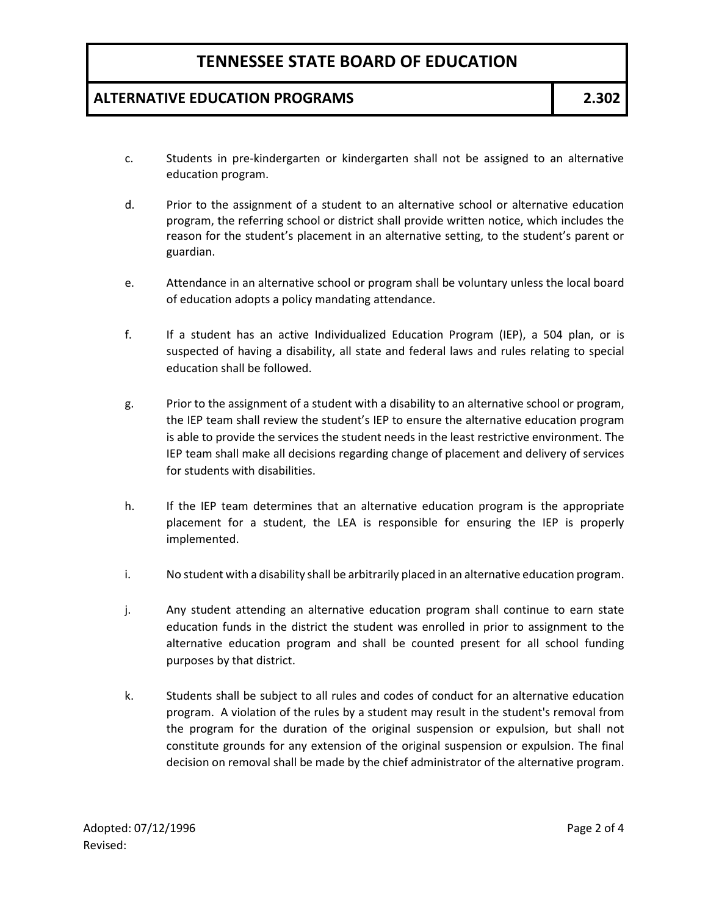### **ALTERNATIVE EDUCATION PROGRAMS 2.302**

- c. Students in pre-kindergarten or kindergarten shall not be assigned to an alternative education program.
- d. Prior to the assignment of a student to an alternative school or alternative education program, the referring school or district shall provide written notice, which includes the reason for the student's placement in an alternative setting, to the student's parent or guardian.
- e. Attendance in an alternative school or program shall be voluntary unless the local board of education adopts a policy mandating attendance.
- f. If a student has an active Individualized Education Program (IEP), a 504 plan, or is suspected of having a disability, all state and federal laws and rules relating to special education shall be followed.
- g. Prior to the assignment of a student with a disability to an alternative school or program, the IEP team shall review the student's IEP to ensure the alternative education program is able to provide the services the student needs in the least restrictive environment. The IEP team shall make all decisions regarding change of placement and delivery of services for students with disabilities.
- h. If the IEP team determines that an alternative education program is the appropriate placement for a student, the LEA is responsible for ensuring the IEP is properly implemented.
- i. No student with a disability shall be arbitrarily placed in an alternative education program.
- j. Any student attending an alternative education program shall continue to earn state education funds in the district the student was enrolled in prior to assignment to the alternative education program and shall be counted present for all school funding purposes by that district.
- k. Students shall be subject to all rules and codes of conduct for an alternative education program. A violation of the rules by a student may result in the student's removal from the program for the duration of the original suspension or expulsion, but shall not constitute grounds for any extension of the original suspension or expulsion. The final decision on removal shall be made by the chief administrator of the alternative program.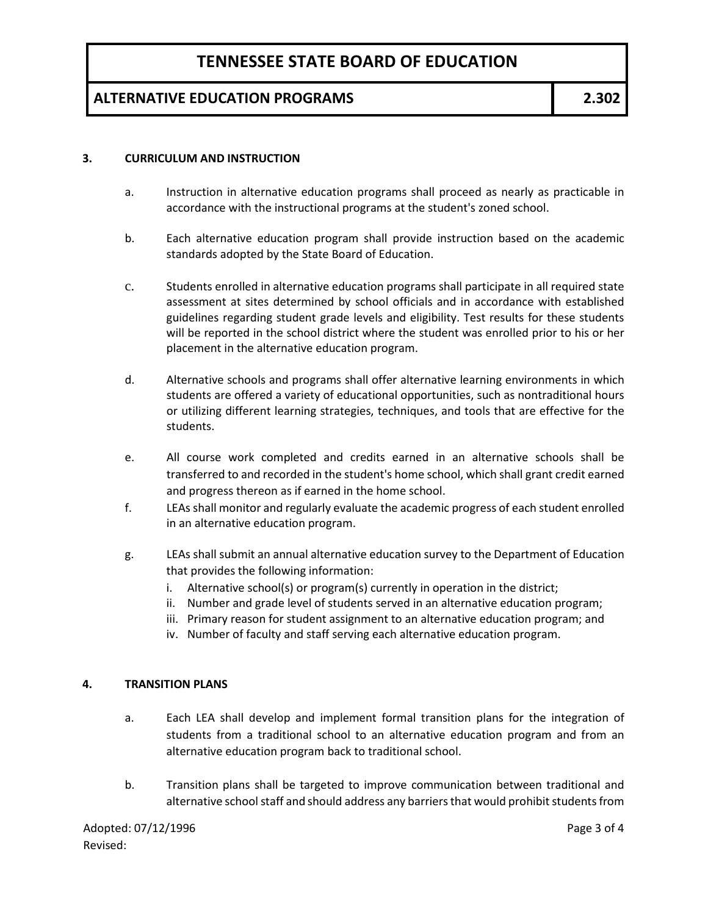### **ALTERNATIVE EDUCATION PROGRAMS 2.302**

#### **3. CURRICULUM AND INSTRUCTION**

- a. Instruction in alternative education programs shall proceed as nearly as practicable in accordance with the instructional programs at the student's zoned school.
- b. Each alternative education program shall provide instruction based on the academic standards adopted by the State Board of Education.
- c. Students enrolled in alternative education programs shall participate in all required state assessment at sites determined by school officials and in accordance with established guidelines regarding student grade levels and eligibility. Test results for these students will be reported in the school district where the student was enrolled prior to his or her placement in the alternative education program.
- d. Alternative schools and programs shall offer alternative learning environments in which students are offered a variety of educational opportunities, such as nontraditional hours or utilizing different learning strategies, techniques, and tools that are effective for the students.
- e. All course work completed and credits earned in an alternative schools shall be transferred to and recorded in the student's home school, which shall grant credit earned and progress thereon as if earned in the home school.
- f. LEAs shall monitor and regularly evaluate the academic progress of each student enrolled in an alternative education program.
- g. LEAs shall submit an annual alternative education survey to the Department of Education that provides the following information:
	- i. Alternative school(s) or program(s) currently in operation in the district;
	- ii. Number and grade level of students served in an alternative education program;
	- iii. Primary reason for student assignment to an alternative education program; and
	- iv. Number of faculty and staff serving each alternative education program.

#### **4. TRANSITION PLANS**

- a. Each LEA shall develop and implement formal transition plans for the integration of students from a traditional school to an alternative education program and from an alternative education program back to traditional school.
- b. Transition plans shall be targeted to improve communication between traditional and alternative school staff and should address any barriers that would prohibit students from